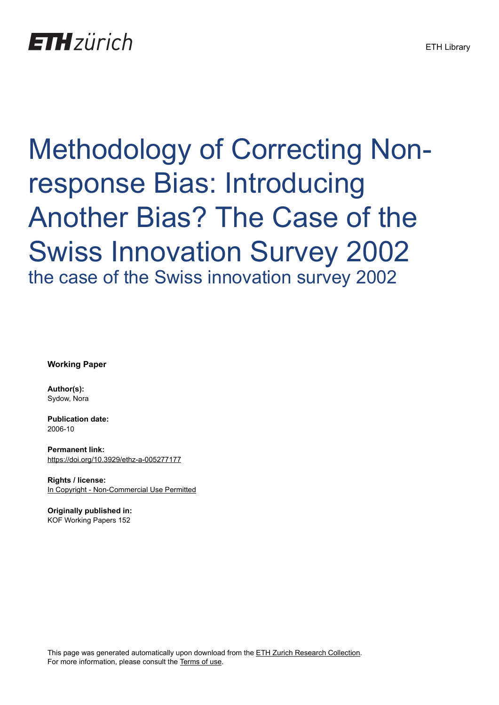# **ETH** zürich

# Methodology of Correcting Nonresponse Bias: Introducing Another Bias? The Case of the Swiss Innovation Survey 2002 the case of the Swiss innovation survey 2002

**Working Paper**

**Author(s):** Sydow, Nora

**Publication date:** 2006-10

**Permanent link:** <https://doi.org/10.3929/ethz-a-005277177>

**Rights / license:** [In Copyright - Non-Commercial Use Permitted](http://rightsstatements.org/page/InC-NC/1.0/)

**Originally published in:** KOF Working Papers 152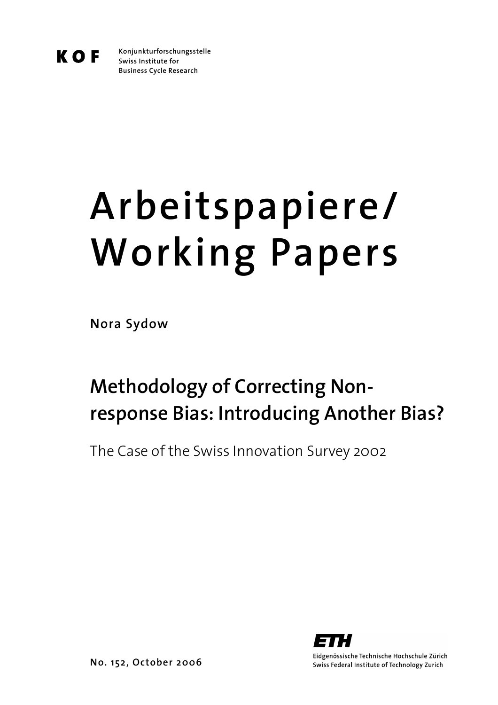K O F

**Konjunkturforschungsstelle Swiss Institute for Business Cycle Research** 

# **Arbeitspapiere/ Working Papers**

**Nora Sydow** 

# **Methodology of Correcting Nonresponse Bias: Introducing Another Bias?**

The Case of the Swiss Innovation Survey 2002



Eidgenössische Technische Hochschule Zürich Swiss Federal Institute of Technology Zurich

**No. 152, October 2006**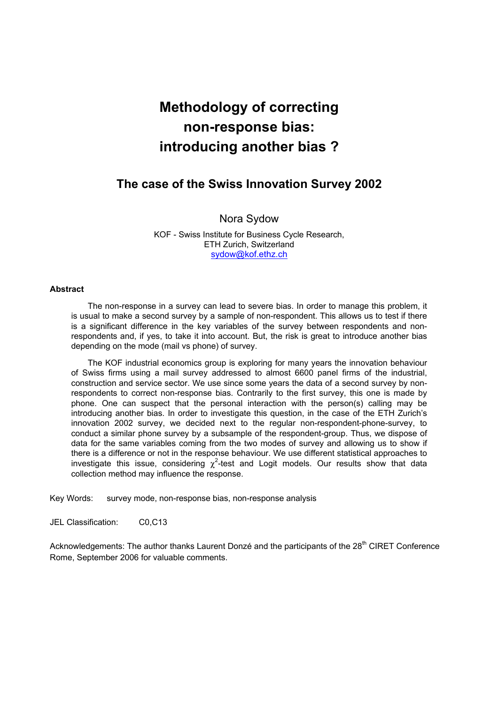# **Methodology of correcting non-response bias: introducing another bias ?**

## **The case of the Swiss Innovation Survey 2002**

#### Nora Sydow

KOF - Swiss Institute for Business Cycle Research, ETH Zurich, Switzerland sydow@kof.ethz.ch

#### **Abstract**

The non-response in a survey can lead to severe bias. In order to manage this problem, it is usual to make a second survey by a sample of non-respondent. This allows us to test if there is a significant difference in the key variables of the survey between respondents and nonrespondents and, if yes, to take it into account. But, the risk is great to introduce another bias depending on the mode (mail vs phone) of survey.

The KOF industrial economics group is exploring for many years the innovation behaviour of Swiss firms using a mail survey addressed to almost 6600 panel firms of the industrial, construction and service sector. We use since some years the data of a second survey by nonrespondents to correct non-response bias. Contrarily to the first survey, this one is made by phone. One can suspect that the personal interaction with the person(s) calling may be introducing another bias. In order to investigate this question, in the case of the ETH Zurich's innovation 2002 survey, we decided next to the regular non-respondent-phone-survey, to conduct a similar phone survey by a subsample of the respondent-group. Thus, we dispose of data for the same variables coming from the two modes of survey and allowing us to show if there is a difference or not in the response behaviour. We use different statistical approaches to investigate this issue, considering  $\chi^2$ -test and Logit models. Our results show that data collection method may influence the response.

Key Words: survey mode, non-response bias, non-response analysis

JEL Classification: C0,C13

Acknowledgements: The author thanks Laurent Donzé and the participants of the 28<sup>th</sup> CIRET Conference Rome, September 2006 for valuable comments.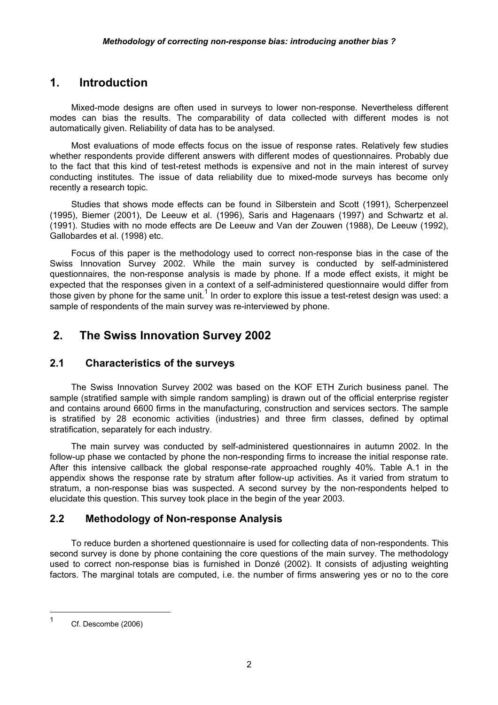## **1. Introduction**

Mixed-mode designs are often used in surveys to lower non-response. Nevertheless different modes can bias the results. The comparability of data collected with different modes is not automatically given. Reliability of data has to be analysed.

Most evaluations of mode effects focus on the issue of response rates. Relatively few studies whether respondents provide different answers with different modes of questionnaires. Probably due to the fact that this kind of test-retest methods is expensive and not in the main interest of survey conducting institutes. The issue of data reliability due to mixed-mode surveys has become only recently a research topic.

Studies that shows mode effects can be found in Silberstein and Scott (1991), Scherpenzeel (1995), Biemer (2001), De Leeuw et al. (1996), Saris and Hagenaars (1997) and Schwartz et al. (1991). Studies with no mode effects are De Leeuw and Van der Zouwen (1988), De Leeuw (1992), Gallobardes et al. (1998) etc.

Focus of this paper is the methodology used to correct non-response bias in the case of the Swiss Innovation Survey 2002. While the main survey is conducted by self-administered questionnaires, the non-response analysis is made by phone. If a mode effect exists, it might be expected that the responses given in a context of a self-administered questionnaire would differ from those given by phone for the same unit.<sup>1</sup> In order to explore this issue a test-retest design was used: a sample of respondents of the main survey was re-interviewed by phone.

# **2. The Swiss Innovation Survey 2002**

#### **2.1 Characteristics of the surveys**

The Swiss Innovation Survey 2002 was based on the KOF ETH Zurich business panel. The sample (stratified sample with simple random sampling) is drawn out of the official enterprise register and contains around 6600 firms in the manufacturing, construction and services sectors. The sample is stratified by 28 economic activities (industries) and three firm classes, defined by optimal stratification, separately for each industry.

The main survey was conducted by self-administered questionnaires in autumn 2002. In the follow-up phase we contacted by phone the non-responding firms to increase the initial response rate. After this intensive callback the global response-rate approached roughly 40%. Table A.1 in the appendix shows the response rate by stratum after follow-up activities. As it varied from stratum to stratum, a non-response bias was suspected. A second survey by the non-respondents helped to elucidate this question. This survey took place in the begin of the year 2003.

#### **2.2 Methodology of Non-response Analysis**

To reduce burden a shortened questionnaire is used for collecting data of non-respondents. This second survey is done by phone containing the core questions of the main survey. The methodology used to correct non-response bias is furnished in Donzé (2002). It consists of adjusting weighting factors. The marginal totals are computed, i.e. the number of firms answering yes or no to the core

 $\overline{a}$ 

<sup>1</sup> Cf. Descombe (2006)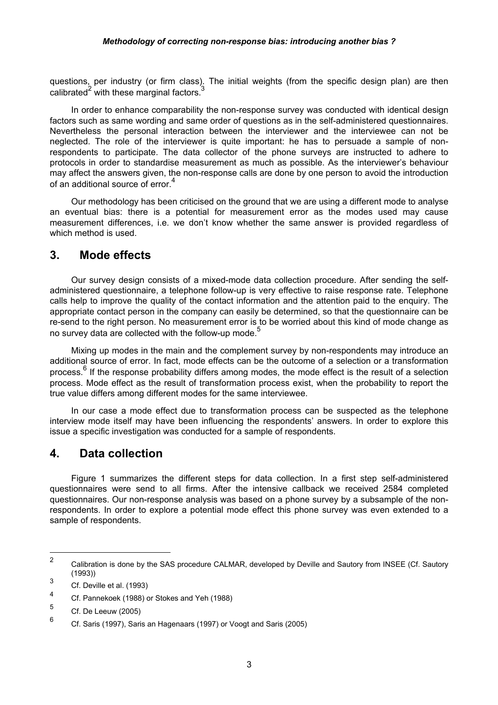questions, per industry (or firm class). The initial weights (from the specific design plan) are then calibrated $2$  with these marginal factors. $3$ 

In order to enhance comparability the non-response survey was conducted with identical design factors such as same wording and same order of questions as in the self-administered questionnaires. Nevertheless the personal interaction between the interviewer and the interviewee can not be neglected. The role of the interviewer is quite important: he has to persuade a sample of nonrespondents to participate. The data collector of the phone surveys are instructed to adhere to protocols in order to standardise measurement as much as possible. As the interviewer's behaviour may affect the answers given, the non-response calls are done by one person to avoid the introduction of an additional source of error.<sup>4</sup>

Our methodology has been criticised on the ground that we are using a different mode to analyse an eventual bias: there is a potential for measurement error as the modes used may cause measurement differences, i.e. we don't know whether the same answer is provided regardless of which method is used.

#### **3. Mode effects**

Our survey design consists of a mixed-mode data collection procedure. After sending the selfadministered questionnaire, a telephone follow-up is very effective to raise response rate. Telephone calls help to improve the quality of the contact information and the attention paid to the enquiry. The appropriate contact person in the company can easily be determined, so that the questionnaire can be re-send to the right person. No measurement error is to be worried about this kind of mode change as no survey data are collected with the follow-up mode.<sup>5</sup>

Mixing up modes in the main and the complement survey by non-respondents may introduce an additional source of error. In fact, mode effects can be the outcome of a selection or a transformation process.<sup>6</sup> If the response probability differs among modes, the mode effect is the result of a selection process. Mode effect as the result of transformation process exist, when the probability to report the true value differs among different modes for the same interviewee.

In our case a mode effect due to transformation process can be suspected as the telephone interview mode itself may have been influencing the respondents' answers. In order to explore this issue a specific investigation was conducted for a sample of respondents.

### **4. Data collection**

Figure 1 summarizes the different steps for data collection. In a first step self-administered questionnaires were send to all firms. After the intensive callback we received 2584 completed questionnaires. Our non-response analysis was based on a phone survey by a subsample of the nonrespondents. In order to explore a potential mode effect this phone survey was even extended to a sample of respondents.

 $\overline{a}$ 

<sup>2</sup> Calibration is done by the SAS procedure CALMAR, developed by Deville and Sautory from INSEE (Cf. Sautory (1993))

<sup>3</sup> Cf. Deville et al. (1993)

<sup>4</sup> Cf. Pannekoek (1988) or Stokes and Yeh (1988)

<sup>5</sup> Cf. De Leeuw (2005)

<sup>6</sup> Cf. Saris (1997), Saris an Hagenaars (1997) or Voogt and Saris (2005)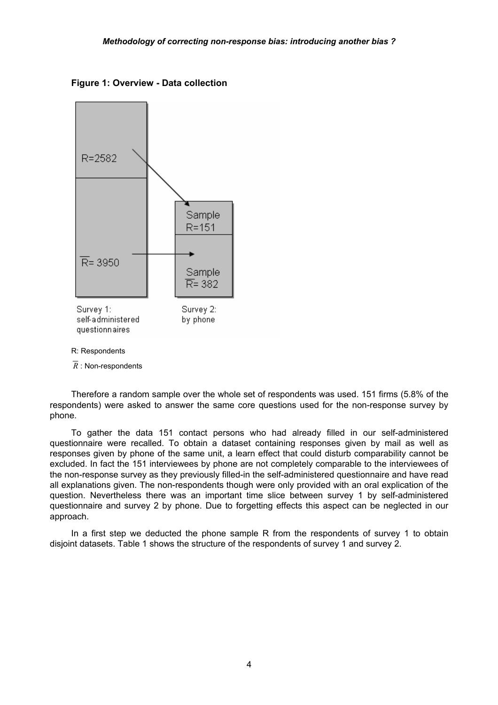**Figure 1: Overview - Data collection** 



 $\overline{R}$  : Non-respondents

Therefore a random sample over the whole set of respondents was used. 151 firms (5.8% of the respondents) were asked to answer the same core questions used for the non-response survey by phone.

To gather the data 151 contact persons who had already filled in our self-administered questionnaire were recalled. To obtain a dataset containing responses given by mail as well as responses given by phone of the same unit, a learn effect that could disturb comparability cannot be excluded. In fact the 151 interviewees by phone are not completely comparable to the interviewees of the non-response survey as they previously filled-in the self-administered questionnaire and have read all explanations given. The non-respondents though were only provided with an oral explication of the question. Nevertheless there was an important time slice between survey 1 by self-administered questionnaire and survey 2 by phone. Due to forgetting effects this aspect can be neglected in our approach.

In a first step we deducted the phone sample R from the respondents of survey 1 to obtain disjoint datasets. Table 1 shows the structure of the respondents of survey 1 and survey 2.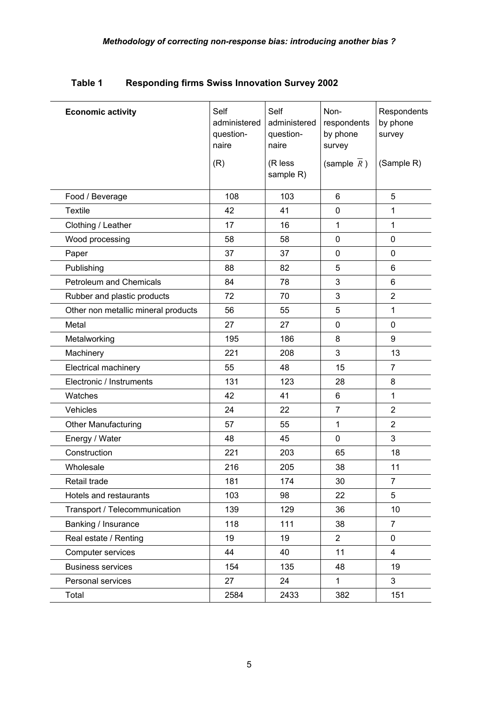| <b>Economic activity</b>            | Self<br>administered<br>question-<br>naire | Self<br>administered<br>question-<br>naire | Non-<br>respondents<br>by phone<br>survey | Respondents<br>by phone<br>survey |
|-------------------------------------|--------------------------------------------|--------------------------------------------|-------------------------------------------|-----------------------------------|
|                                     | (R)                                        | (R less<br>sample R)                       | (sample $\overline{R}$ )                  | (Sample R)                        |
| Food / Beverage                     | 108                                        | 103                                        | 6                                         | 5                                 |
| <b>Textile</b>                      | 42                                         | 41                                         | $\pmb{0}$                                 | $\mathbf{1}$                      |
| Clothing / Leather                  | 17                                         | 16                                         | 1                                         | $\mathbf{1}$                      |
| Wood processing                     | 58                                         | 58                                         | $\pmb{0}$                                 | $\mathbf 0$                       |
| Paper                               | 37                                         | 37                                         | 0                                         | 0                                 |
| Publishing                          | 88                                         | 82                                         | 5                                         | 6                                 |
| <b>Petroleum and Chemicals</b>      | 84                                         | 78                                         | 3                                         | 6                                 |
| Rubber and plastic products         | 72                                         | 70                                         | 3                                         | $\overline{2}$                    |
| Other non metallic mineral products | 56                                         | 55                                         | 5                                         | $\mathbf{1}$                      |
| Metal                               | 27                                         | 27                                         | 0                                         | $\mathbf 0$                       |
| Metalworking                        | 195                                        | 186                                        | 8                                         | 9                                 |
| Machinery                           | 221                                        | 208                                        | 3                                         | 13                                |
| Electrical machinery                | 55                                         | 48                                         | 15                                        | $\overline{7}$                    |
| Electronic / Instruments            | 131                                        | 123                                        | 28                                        | 8                                 |
| Watches                             | 42                                         | 41                                         | 6                                         | $\mathbf{1}$                      |
| Vehicles                            | 24                                         | 22                                         | $\overline{7}$                            | $\overline{2}$                    |
| <b>Other Manufacturing</b>          | 57                                         | 55                                         | 1                                         | $\overline{2}$                    |
| Energy / Water                      | 48                                         | 45                                         | 0                                         | 3                                 |
| Construction                        | 221                                        | 203                                        | 65                                        | 18                                |
| Wholesale                           | 216                                        | 205                                        | 38                                        | 11                                |
| Retail trade                        | 181                                        | 174                                        | 30                                        | 7                                 |
| Hotels and restaurants              | 103                                        | 98                                         | 22                                        | 5                                 |
| Transport / Telecommunication       | 139                                        | 129                                        | 36                                        | 10                                |
| Banking / Insurance                 | 118                                        | 111                                        | 38                                        | $\overline{7}$                    |
| Real estate / Renting               | 19                                         | 19                                         | $\overline{2}$                            | 0                                 |
| Computer services                   | 44                                         | 40                                         | 11                                        | 4                                 |
| <b>Business services</b>            | 154                                        | 135                                        | 48                                        | 19                                |
| Personal services                   | 27                                         | 24                                         | $\mathbf{1}$                              | 3                                 |
| Total                               | 2584                                       | 2433                                       | 382                                       | 151                               |

**Table 1 Responding firms Swiss Innovation Survey 2002**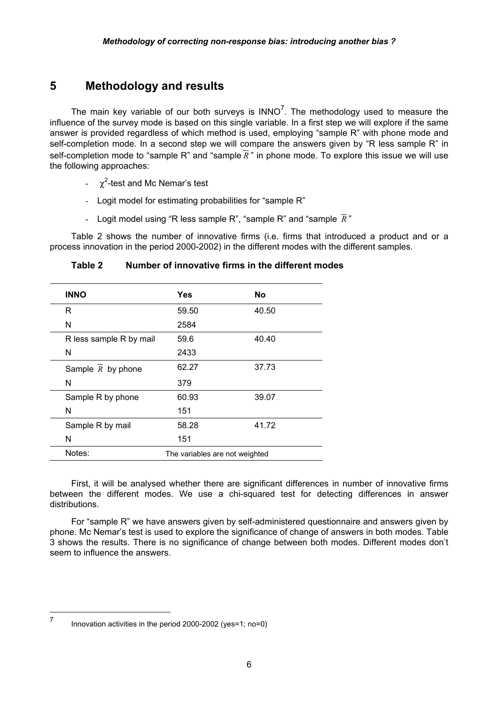# **5 Methodology and results**

The main key variable of our both surveys is  $INNO<sup>7</sup>$ . The methodology used to measure the influence of the survey mode is based on this single variable. In a first step we will explore if the same answer is provided regardless of which method is used, employing "sample R" with phone mode and self-completion mode. In a second step we will compare the answers given by "R less sample R" in self-completion mode to "sample R" and "sample  $\overline{R}$ " in phone mode. To explore this issue we will use the following approaches:

- $-\chi^2$ -test and Mc Nemar's test
- Logit model for estimating probabilities for "sample R"
- Logit model using "R less sample R", "sample R" and "sample  $\overline{R}$ "

Table 2 shows the number of innovative firms (i.e. firms that introduced a product and or a process innovation in the period 2000-2002) in the different modes with the different samples.

| <b>INNO</b>             | Yes                            | No    |
|-------------------------|--------------------------------|-------|
| R                       | 59.50                          | 40.50 |
| N                       | 2584                           |       |
| R less sample R by mail | 59.6                           | 40.40 |
| N                       | 2433                           |       |
| Sample $R$ by phone     | 62.27                          | 37.73 |
| N                       | 379                            |       |
| Sample R by phone       | 60.93                          | 39.07 |
| N                       | 151                            |       |
| Sample R by mail        | 58.28                          | 41.72 |
| N                       | 151                            |       |
| Notes:                  | The variables are not weighted |       |

**Table 2 Number of innovative firms in the different modes** 

First, it will be analysed whether there are significant differences in number of innovative firms between the different modes. We use a chi-squared test for detecting differences in answer distributions.

For "sample R" we have answers given by self-administered questionnaire and answers given by phone. Mc Nemar's test is used to explore the significance of change of answers in both modes. Table 3 shows the results. There is no significance of change between both modes. Different modes don't seem to influence the answers.

 $\overline{a}$ 

<sup>7</sup> Innovation activities in the period 2000-2002 (yes=1; no=0)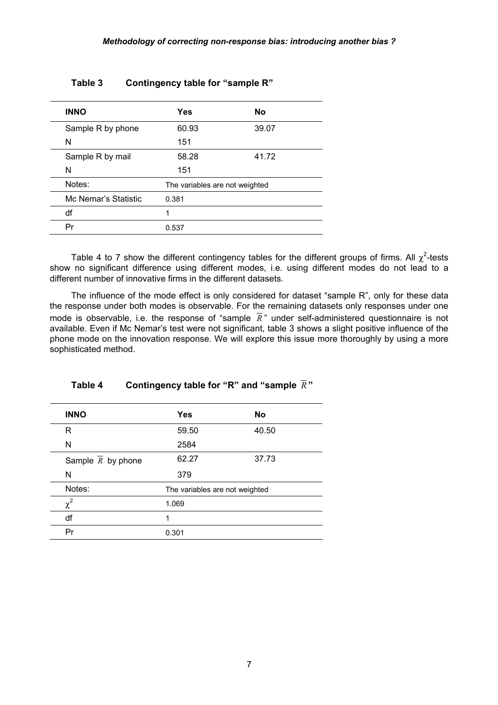| <b>INNO</b>          | <b>Yes</b>                     | No    |  |
|----------------------|--------------------------------|-------|--|
| Sample R by phone    | 60.93                          | 39.07 |  |
| N                    | 151                            |       |  |
| Sample R by mail     | 58.28                          | 41.72 |  |
| N                    | 151                            |       |  |
| Notes:               | The variables are not weighted |       |  |
| Mc Nemar's Statistic | 0.381                          |       |  |
| df                   | 1                              |       |  |
| Pr                   | 0.537                          |       |  |
|                      |                                |       |  |

#### **Table 3 Contingency table for "sample R"**

Table 4 to 7 show the different contingency tables for the different groups of firms. All  $\chi^2$ -tests show no significant difference using different modes, i.e. using different modes do not lead to a different number of innovative firms in the different datasets.

The influence of the mode effect is only considered for dataset "sample R", only for these data the response under both modes is observable. For the remaining datasets only responses under one mode is observable, i.e. the response of "sample  $\overline{R}$ " under self-administered questionnaire is not available. Even if Mc Nemar's test were not significant, table 3 shows a slight positive influence of the phone mode on the innovation response. We will explore this issue more thoroughly by using a more sophisticated method.

| Table 4 | Contingency table for "R" and "sample $R$ " |  |
|---------|---------------------------------------------|--|
|---------|---------------------------------------------|--|

| <b>INNO</b>         | <b>Yes</b>                     | No    |
|---------------------|--------------------------------|-------|
| R                   | 59.50                          | 40.50 |
| N                   | 2584                           |       |
| Sample $R$ by phone | 62.27                          | 37.73 |
| N                   | 379                            |       |
| Notes:              | The variables are not weighted |       |
| $\chi^2$            | 1.069                          |       |
| df                  | 1                              |       |
| Pr                  | 0.301                          |       |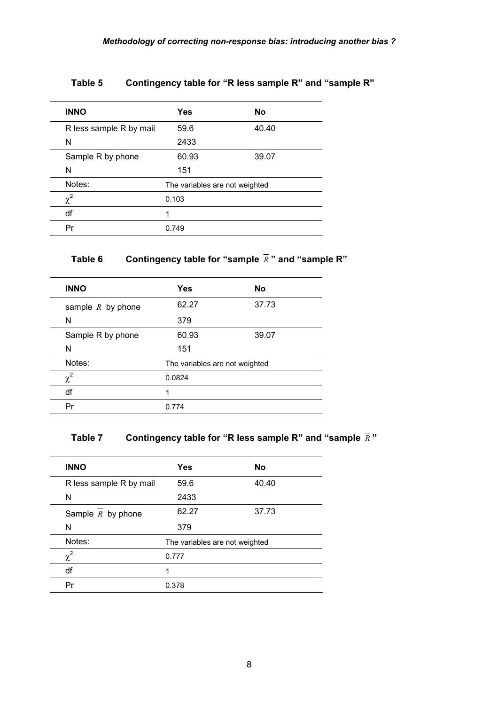| <b>INNO</b>             | Yes                            | <b>No</b> |  |
|-------------------------|--------------------------------|-----------|--|
| R less sample R by mail | 59.6                           | 40.40     |  |
| N                       | 2433                           |           |  |
| Sample R by phone       | 60.93                          | 39.07     |  |
| N                       | 151                            |           |  |
| Notes:                  | The variables are not weighted |           |  |
| $\chi^2$                | 0.103                          |           |  |
| df                      | 1                              |           |  |
| Pr                      | 0.749                          |           |  |

#### **Table 5 Contingency table for "R less sample R" and "sample R"**

# **Table 6 Contingency table for "sample** *R* **" and "sample R"**

| <b>INNO</b>         | <b>Yes</b>                     | No    |  |
|---------------------|--------------------------------|-------|--|
| sample $R$ by phone | 62.27                          | 37.73 |  |
| N                   | 379                            |       |  |
| Sample R by phone   | 60.93                          | 39.07 |  |
| N                   | 151                            |       |  |
| Notes:              | The variables are not weighted |       |  |
| $\chi^2$            | 0.0824                         |       |  |
| df                  | 1                              |       |  |
| Pr                  | 0.774                          |       |  |

# **Table 7 Contingency table for "R less sample R" and "sample** *R* **"**

| <b>INNO</b>                    | <b>Yes</b>                     | No    |
|--------------------------------|--------------------------------|-------|
| R less sample R by mail        | 59.6                           | 40.40 |
| N                              | 2433                           |       |
| Sample $\overline{R}$ by phone | 62.27                          | 37.73 |
| N                              | 379                            |       |
| Notes:                         | The variables are not weighted |       |
| $\chi^2$                       | 0.777                          |       |
| df                             | 1                              |       |
| Pr                             | 0.378                          |       |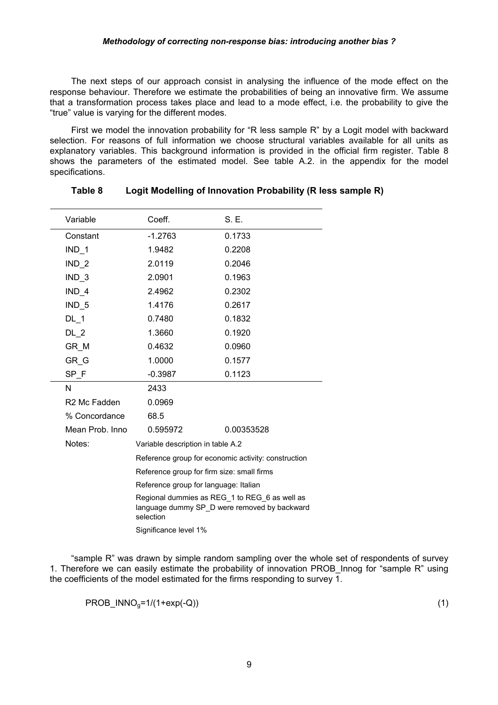The next steps of our approach consist in analysing the influence of the mode effect on the response behaviour. Therefore we estimate the probabilities of being an innovative firm. We assume that a transformation process takes place and lead to a mode effect, i.e. the probability to give the "true" value is varying for the different modes.

First we model the innovation probability for "R less sample R" by a Logit model with backward selection. For reasons of full information we choose structural variables available for all units as explanatory variables. This background information is provided in the official firm register. Table 8 shows the parameters of the estimated model. See table A.2. in the appendix for the model specifications.

| Variable                 | Coeff.                                                                                                     | S. E.                                               |  |
|--------------------------|------------------------------------------------------------------------------------------------------------|-----------------------------------------------------|--|
| Constant                 | $-1.2763$                                                                                                  | 0.1733                                              |  |
| $IND_1$                  | 1.9482                                                                                                     | 0.2208                                              |  |
| $IND_2$                  | 2.0119                                                                                                     | 0.2046                                              |  |
| $IND_3$                  | 2.0901                                                                                                     | 0.1963                                              |  |
| $IND_4$                  | 2.4962                                                                                                     | 0.2302                                              |  |
| IND <sub>5</sub>         | 1.4176                                                                                                     | 0.2617                                              |  |
| $DL-1$                   | 0.7480                                                                                                     | 0.1832                                              |  |
| $DL_2$                   | 1.3660                                                                                                     | 0.1920                                              |  |
| GR M                     | 0.4632                                                                                                     | 0.0960                                              |  |
| GR G                     | 1.0000                                                                                                     | 0.1577                                              |  |
| SP F                     | $-0.3987$                                                                                                  | 0.1123                                              |  |
| N                        | 2433                                                                                                       |                                                     |  |
| R <sub>2</sub> Mc Fadden | 0.0969                                                                                                     |                                                     |  |
| % Concordance            | 68.5                                                                                                       |                                                     |  |
| Mean Prob. Inno          | 0.595972                                                                                                   | 0.00353528                                          |  |
| Notes:                   | Variable description in table A.2                                                                          |                                                     |  |
|                          |                                                                                                            | Reference group for economic activity: construction |  |
|                          | Reference group for firm size: small firms                                                                 |                                                     |  |
|                          | Reference group for language: Italian                                                                      |                                                     |  |
|                          | Regional dummies as REG 1 to REG 6 as well as<br>language dummy SP_D were removed by backward<br>selection |                                                     |  |
|                          | Significance level 1%                                                                                      |                                                     |  |

#### **Table 8 Logit Modelling of Innovation Probability (R less sample R)**

"sample R" was drawn by simple random sampling over the whole set of respondents of survey 1. Therefore we can easily estimate the probability of innovation PROB\_Innog for "sample R" using the coefficients of the model estimated for the firms responding to survey 1.

 $PROB_1NNO_0=1/(1+exp(-Q))$  (1)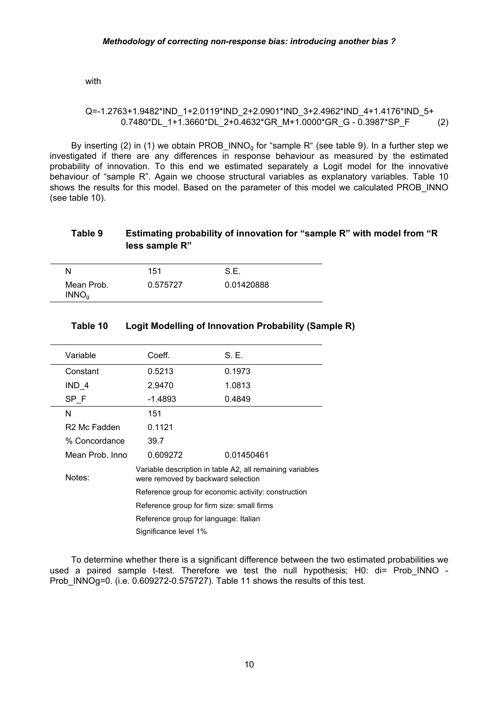with

#### Q=-1.2763+1.9482\*IND\_1+2.0119\*IND\_2+2.0901\*IND\_3+2.4962\*IND\_4+1.4176\*IND\_5+  $0.7480*DL$  1+1.3660\*DL 2+0.4632\*GR M+1.0000\*GR\_G - 0.3987\*SP\_F (2)

By inserting (2) in (1) we obtain PROB\_INNO<sub>g</sub> for "sample R" (see table 9). In a further step we investigated if there are any differences in response behaviour as measured by the estimated probability of innovation. To this end we estimated separately a Logit model for the innovative behaviour of "sample R". Again we choose structural variables as explanatory variables. Table 10 shows the results for this model. Based on the parameter of this model we calculated PROB\_INNO (see table 10).

#### **Table 9 Estimating probability of innovation for "sample R" with model from "R less sample R"**

| N                               | 151      | S.E.       |  |
|---------------------------------|----------|------------|--|
| Mean Prob.<br>INNO <sub>a</sub> | 0.575727 | 0.01420888 |  |

| Variable                 | Coeff.                                              | S. E.                                                     |  |
|--------------------------|-----------------------------------------------------|-----------------------------------------------------------|--|
| Constant                 | 0.5213                                              | 0.1973                                                    |  |
| IND 4                    | 2.9470                                              | 1.0813                                                    |  |
| SP F                     | $-1.4893$                                           | 0.4849                                                    |  |
| N                        | 151                                                 |                                                           |  |
| R <sub>2</sub> Mc Fadden | 0.1121                                              |                                                           |  |
| % Concordance            | 39.7                                                |                                                           |  |
| Mean Prob. Inno          | 0.609272                                            | 0.01450461                                                |  |
| Notes:                   | were removed by backward selection                  | Variable description in table A2, all remaining variables |  |
|                          | Reference group for economic activity: construction |                                                           |  |
|                          | Reference group for firm size: small firms          |                                                           |  |
|                          | Reference group for language: Italian               |                                                           |  |
|                          | Significance level 1%                               |                                                           |  |

#### **Table 10 Logit Modelling of Innovation Probability (Sample R)**

To determine whether there is a significant difference between the two estimated probabilities we used a paired sample t-test. Therefore we test the null hypothesis: H0: di= Prob INNO -Prob INNOg=0. (i.e. 0.609272-0.575727). Table 11 shows the results of this test.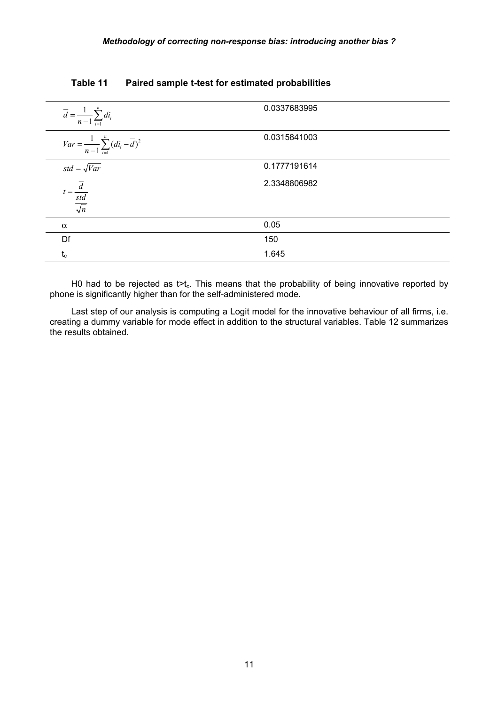| $\overline{d} = \frac{1}{n-1} \sum_{i=1}^n d_i$              | 0.0337683995 |  |
|--------------------------------------------------------------|--------------|--|
| $Var = \frac{1}{n-1} \sum_{i=1}^{n} (di_i - \overline{d})^2$ | 0.0315841003 |  |
| $std = \sqrt{Var}$                                           | 0.1777191614 |  |
| $t = \frac{d}{\frac{std}{\sqrt{n}}}$                         | 2.3348806982 |  |
| $\alpha$                                                     | 0.05         |  |
| Df                                                           | 150          |  |
| $t_c$                                                        | 1.645        |  |

#### **Table 11 Paired sample t-test for estimated probabilities**

H0 had to be rejected as  $t>t_c$ . This means that the probability of being innovative reported by phone is significantly higher than for the self-administered mode.

Last step of our analysis is computing a Logit model for the innovative behaviour of all firms, i.e. creating a dummy variable for mode effect in addition to the structural variables. Table 12 summarizes the results obtained.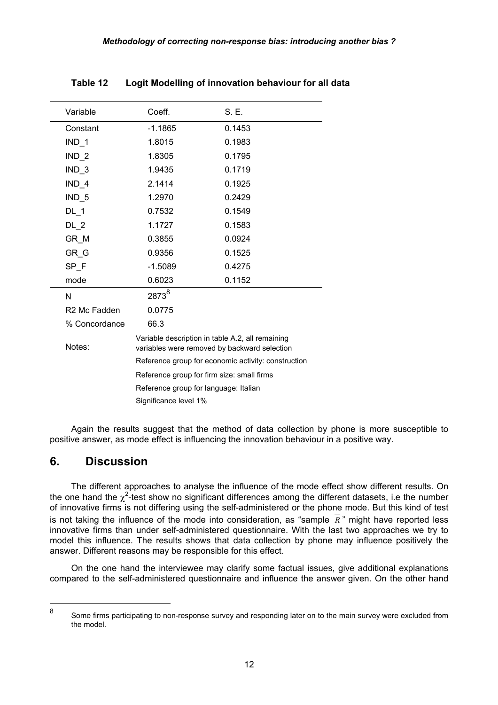| Variable                 | Coeff.                                                                                           | S. E.  |  |  |
|--------------------------|--------------------------------------------------------------------------------------------------|--------|--|--|
| Constant                 | $-1.1865$                                                                                        | 0.1453 |  |  |
| $IND_1$                  | 1.8015                                                                                           | 0.1983 |  |  |
| $IND_2$                  | 1.8305                                                                                           | 0.1795 |  |  |
| $IND_3$                  | 1.9435                                                                                           | 0.1719 |  |  |
| $IND_4$                  | 2.1414                                                                                           | 0.1925 |  |  |
| $IND_5$                  | 1.2970                                                                                           | 0.2429 |  |  |
| $DL_{1}$                 | 0.7532                                                                                           | 0.1549 |  |  |
| $DL_2$                   | 1.1727                                                                                           | 0.1583 |  |  |
| GR_M                     | 0.3855                                                                                           | 0.0924 |  |  |
| GR G                     | 0.9356                                                                                           | 0.1525 |  |  |
| SP F                     | $-1.5089$                                                                                        | 0.4275 |  |  |
| mode                     | 0.6023                                                                                           | 0.1152 |  |  |
| N                        | 2873 <sup>8</sup>                                                                                |        |  |  |
| R <sub>2</sub> Mc Fadden | 0.0775                                                                                           |        |  |  |
| % Concordance            | 66.3                                                                                             |        |  |  |
| Notes:                   | Variable description in table A.2, all remaining<br>variables were removed by backward selection |        |  |  |
|                          | Reference group for economic activity: construction                                              |        |  |  |
|                          | Reference group for firm size: small firms                                                       |        |  |  |
|                          | Reference group for language: Italian                                                            |        |  |  |
|                          | Significance level 1%                                                                            |        |  |  |

**Table 12 Logit Modelling of innovation behaviour for all data** 

Again the results suggest that the method of data collection by phone is more susceptible to positive answer, as mode effect is influencing the innovation behaviour in a positive way.

### **6. Discussion**

 $\overline{a}$ 

The different approaches to analyse the influence of the mode effect show different results. On the one hand the  $\chi^2$ -test show no significant differences among the different datasets, i.e the number of innovative firms is not differing using the self-administered or the phone mode. But this kind of test is not taking the influence of the mode into consideration, as "sample  $\bar{R}$ " might have reported less innovative firms than under self-administered questionnaire. With the last two approaches we try to model this influence. The results shows that data collection by phone may influence positively the answer. Different reasons may be responsible for this effect.

On the one hand the interviewee may clarify some factual issues, give additional explanations compared to the self-administered questionnaire and influence the answer given. On the other hand

<sup>8</sup> Some firms participating to non-response survey and responding later on to the main survey were excluded from the model.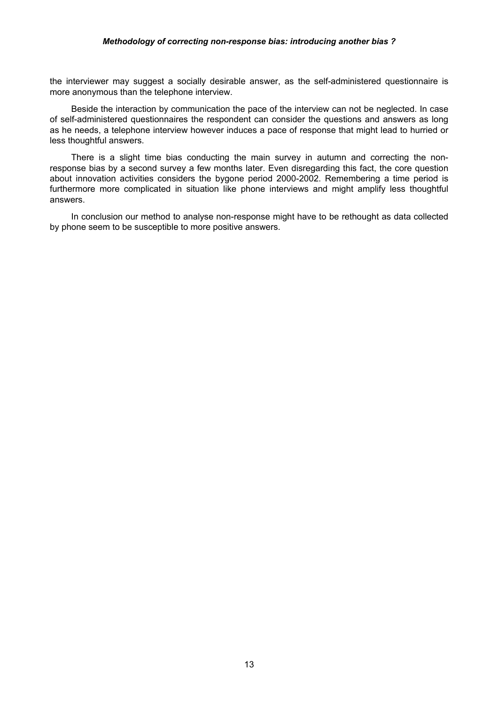#### *Methodology of correcting non-response bias: introducing another bias ?*

the interviewer may suggest a socially desirable answer, as the self-administered questionnaire is more anonymous than the telephone interview.

Beside the interaction by communication the pace of the interview can not be neglected. In case of self-administered questionnaires the respondent can consider the questions and answers as long as he needs, a telephone interview however induces a pace of response that might lead to hurried or less thoughtful answers.

There is a slight time bias conducting the main survey in autumn and correcting the nonresponse bias by a second survey a few months later. Even disregarding this fact, the core question about innovation activities considers the bygone period 2000-2002. Remembering a time period is furthermore more complicated in situation like phone interviews and might amplify less thoughtful answers.

In conclusion our method to analyse non-response might have to be rethought as data collected by phone seem to be susceptible to more positive answers.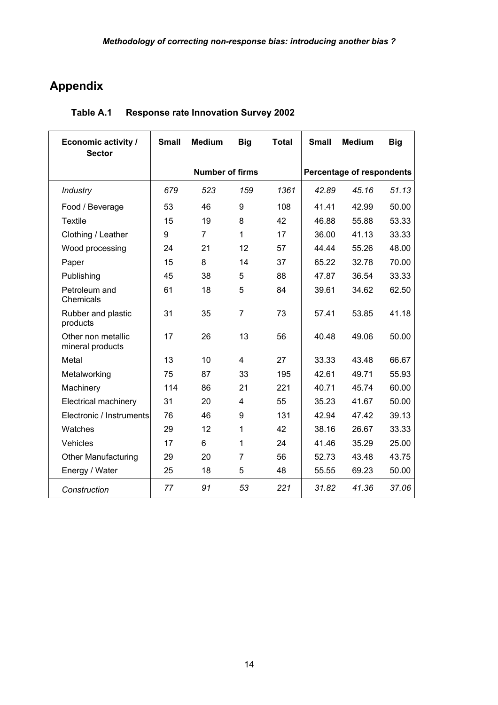# **Appendix**

| <b>Economic activity /</b><br><b>Sector</b> | <b>Small</b>           | <b>Medium</b>  | <b>Big</b> | <b>Total</b>                     | <b>Small</b> | <b>Medium</b> | <b>Big</b> |
|---------------------------------------------|------------------------|----------------|------------|----------------------------------|--------------|---------------|------------|
|                                             | <b>Number of firms</b> |                |            | <b>Percentage of respondents</b> |              |               |            |
| Industry                                    | 679                    | 523            | 159        | 1361                             | 42.89        | 45.16         | 51.13      |
| Food / Beverage                             | 53                     | 46             | 9          | 108                              | 41.41        | 42.99         | 50.00      |
| <b>Textile</b>                              | 15                     | 19             | 8          | 42                               | 46.88        | 55.88         | 53.33      |
| Clothing / Leather                          | 9                      | $\overline{7}$ | 1          | 17                               | 36.00        | 41.13         | 33.33      |
| Wood processing                             | 24                     | 21             | 12         | 57                               | 44.44        | 55.26         | 48.00      |
| Paper                                       | 15                     | 8              | 14         | 37                               | 65.22        | 32.78         | 70.00      |
| Publishing                                  | 45                     | 38             | 5          | 88                               | 47.87        | 36.54         | 33.33      |
| Petroleum and<br>Chemicals                  | 61                     | 18             | 5          | 84                               | 39.61        | 34.62         | 62.50      |
| Rubber and plastic<br>products              | 31                     | 35             | 7          | 73                               | 57.41        | 53.85         | 41.18      |
| Other non metallic<br>mineral products      | 17                     | 26             | 13         | 56                               | 40.48        | 49.06         | 50.00      |
| Metal                                       | 13                     | 10             | 4          | 27                               | 33.33        | 43.48         | 66.67      |
| Metalworking                                | 75                     | 87             | 33         | 195                              | 42.61        | 49.71         | 55.93      |
| Machinery                                   | 114                    | 86             | 21         | 221                              | 40.71        | 45.74         | 60.00      |
| <b>Electrical machinery</b>                 | 31                     | 20             | 4          | 55                               | 35.23        | 41.67         | 50.00      |
| Electronic / Instruments                    | 76                     | 46             | 9          | 131                              | 42.94        | 47.42         | 39.13      |
| Watches                                     | 29                     | 12             | 1          | 42                               | 38.16        | 26.67         | 33.33      |
| Vehicles                                    | 17                     | 6              | 1          | 24                               | 41.46        | 35.29         | 25.00      |
| <b>Other Manufacturing</b>                  | 29                     | 20             | 7          | 56                               | 52.73        | 43.48         | 43.75      |
| Energy / Water                              | 25                     | 18             | 5          | 48                               | 55.55        | 69.23         | 50.00      |
| Construction                                | 77                     | 91             | 53         | 221                              | 31.82        | 41.36         | 37.06      |

## **Table A.1 Response rate Innovation Survey 2002**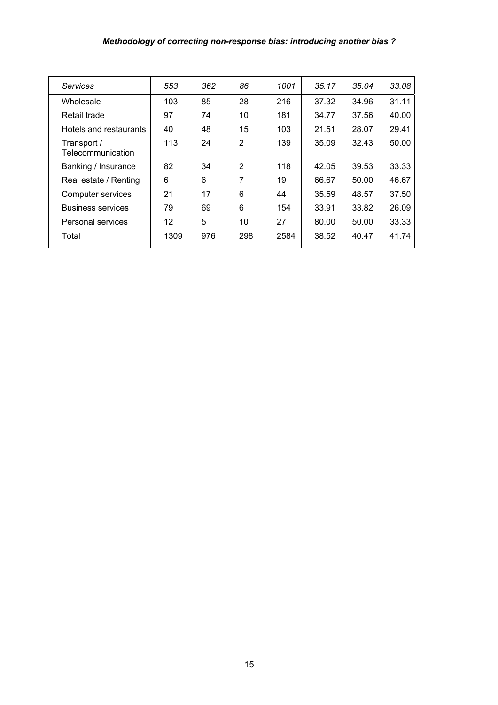#### *Methodology of correcting non-response bias: introducing another bias ?*

| <b>Services</b>                  | 553  | 362 | 86  | 1001 | 35.17 | 35.04 | 33.08 |
|----------------------------------|------|-----|-----|------|-------|-------|-------|
| Wholesale                        | 103  | 85  | 28  | 216  | 37.32 | 34.96 | 31.11 |
| Retail trade                     | 97   | 74  | 10  | 181  | 34.77 | 37.56 | 40.00 |
| Hotels and restaurants           | 40   | 48  | 15  | 103  | 21.51 | 28.07 | 29.41 |
| Transport /<br>Telecommunication | 113  | 24  | 2   | 139  | 35.09 | 32.43 | 50.00 |
| Banking / Insurance              | 82   | 34  | 2   | 118  | 42.05 | 39.53 | 33.33 |
| Real estate / Renting            | 6    | 6   | 7   | 19   | 66.67 | 50.00 | 46.67 |
| Computer services                | 21   | 17  | 6   | 44   | 35.59 | 48.57 | 37.50 |
| <b>Business services</b>         | 79   | 69  | 6   | 154  | 33.91 | 33.82 | 26.09 |
| Personal services                | 12   | 5   | 10  | 27   | 80.00 | 50.00 | 33.33 |
| Total                            | 1309 | 976 | 298 | 2584 | 38.52 | 40.47 | 41.74 |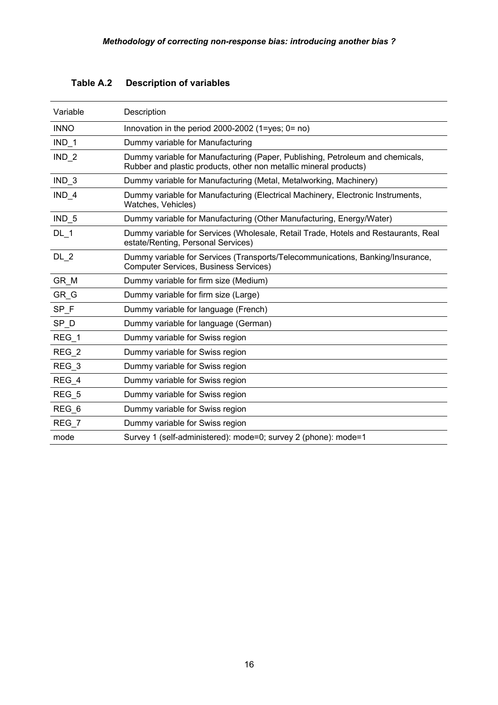| Variable         | Description                                                                                                                                        |
|------------------|----------------------------------------------------------------------------------------------------------------------------------------------------|
| <b>INNO</b>      | Innovation in the period 2000-2002 (1=yes; $0 = \text{no}$ )                                                                                       |
| $IND_1$          | Dummy variable for Manufacturing                                                                                                                   |
| IND <sub>2</sub> | Dummy variable for Manufacturing (Paper, Publishing, Petroleum and chemicals,<br>Rubber and plastic products, other non metallic mineral products) |
| $IND_3$          | Dummy variable for Manufacturing (Metal, Metalworking, Machinery)                                                                                  |
| $IND_4$          | Dummy variable for Manufacturing (Electrical Machinery, Electronic Instruments,<br>Watches, Vehicles)                                              |
| $IND_5$          | Dummy variable for Manufacturing (Other Manufacturing, Energy/Water)                                                                               |
| $DL-1$           | Dummy variable for Services (Wholesale, Retail Trade, Hotels and Restaurants, Real<br>estate/Renting, Personal Services)                           |
| $DL_2$           | Dummy variable for Services (Transports/Telecommunications, Banking/Insurance,<br><b>Computer Services, Business Services)</b>                     |
| GR M             | Dummy variable for firm size (Medium)                                                                                                              |
| GR G             | Dummy variable for firm size (Large)                                                                                                               |
| SP_F             | Dummy variable for language (French)                                                                                                               |
| SP_D             | Dummy variable for language (German)                                                                                                               |
| $REG_1$          | Dummy variable for Swiss region                                                                                                                    |
| $REG_2$          | Dummy variable for Swiss region                                                                                                                    |
| $REG_3$          | Dummy variable for Swiss region                                                                                                                    |
| REG 4            | Dummy variable for Swiss region                                                                                                                    |
| REG 5            | Dummy variable for Swiss region                                                                                                                    |
| $REG_6$          | Dummy variable for Swiss region                                                                                                                    |
| REG 7            | Dummy variable for Swiss region                                                                                                                    |
| mode             | Survey 1 (self-administered): mode=0; survey 2 (phone): mode=1                                                                                     |

# **Table A.2 Description of variables**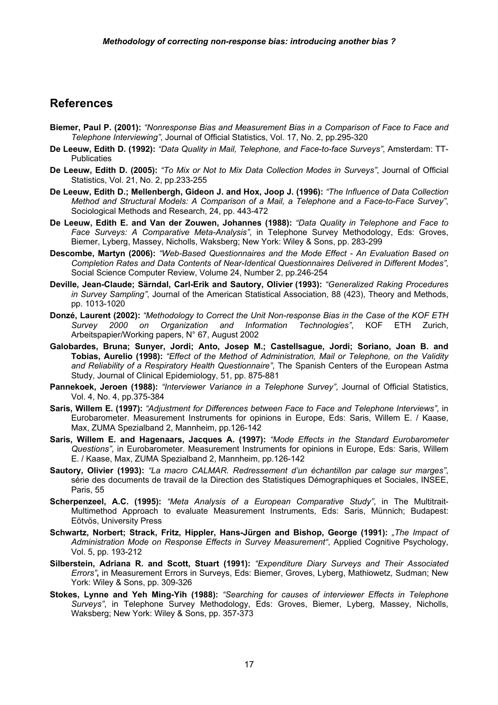#### **References**

- **Biemer, Paul P. (2001):** *"Nonresponse Bias and Measurement Bias in a Comparison of Face to Face and Telephone Interviewing"*, Journal of Official Statistics, Vol. 17, No. 2, pp.295-320
- **De Leeuw, Edith D. (1992):** *"Data Quality in Mail, Telephone, and Face-to-face Surveys"*, Amsterdam: TT-Publicaties
- **De Leeuw, Edith D. (2005):** *"To Mix or Not to Mix Data Collection Modes in Surveys"*, Journal of Official Statistics, Vol. 21, No. 2, pp.233-255
- **De Leeuw, Edith D.; Mellenbergh, Gideon J. and Hox, Joop J. (1996):** *"The Influence of Data Collection Method and Structural Models: A Comparison of a Mail, a Telephone and a Face-to-Face Survey"*, Sociological Methods and Research, 24, pp. 443-472
- **De Leeuw, Edith E. and Van der Zouwen, Johannes (1988):** *"Data Quality in Telephone and Face to Face Surveys: A Comparative Meta-Analysis"*, in Telephone Survey Methodology, Eds: Groves, Biemer, Lyberg, Massey, Nicholls, Waksberg; New York: Wiley & Sons, pp. 283-299
- **Descombe, Martyn (2006):** *"Web-Based Questionnaires and the Mode Effect An Evaluation Based on Completion Rates and Data Contents of Near-Identical Questionnaires Delivered in Different Modes"*, Social Science Computer Review, Volume 24, Number 2, pp.246-254
- **Deville, Jean-Claude; Särndal, Carl-Erik and Sautory, Olivier (1993):** *"Generalized Raking Procedures in Survey Sampling"*, Journal of the American Statistical Association, 88 (423), Theory and Methods, pp. 1013-1020
- **Donzé, Laurent (2002):** *"Methodology to Correct the Unit Non-response Bias in the Case of the KOF ETH Survey 2000 on Organization and Information Technologies"*, KOF ETH Zurich, Arbeitspapier/Working papers, N° 67, August 2002
- **Galobardes, Bruna; Sunyer, Jordi; Anto, Josep M.; Castellsague, Jordi; Soriano, Joan B. and Tobias, Aurelio (1998):** *"Effect of the Method of Administration, Mail or Telephone, on the Validity and Reliability of a Respiratory Health Questionnaire"*, The Spanish Centers of the European Astma Study, Journal of Clinical Epidemiology, 51, pp. 875-881
- **Pannekoek, Jeroen (1988):** *"Interviewer Variance in a Telephone Survey"*, Journal of Official Statistics, Vol. 4, No. 4, pp.375-384
- **Saris, Willem E. (1997):** *"Adjustment for Differences between Face to Face and Telephone Interviews"*, in Eurobarometer. Measurement Instruments for opinions in Europe, Eds: Saris, Willem E. / Kaase, Max, ZUMA Spezialband 2, Mannheim, pp.126-142
- **Saris, Willem E. and Hagenaars, Jacques A. (1997):** *"Mode Effects in the Standard Eurobarometer Questions"*, in Eurobarometer. Measurement Instruments for opinions in Europe, Eds: Saris, Willem E. / Kaase, Max, ZUMA Spezialband 2, Mannheim, pp.126-142
- **Sautory, Olivier (1993):** *"La macro CALMAR. Redressement d'un échantillon par calage sur marges"*, série des documents de travail de la Direction des Statistiques Démographiques et Sociales, INSEE, Paris, 55
- **Scherpenzeel, A.C. (1995):** *"Meta Analysis of a European Comparative Study"*, in The Multitrait-Multimethod Approach to evaluate Measurement Instruments, Eds: Saris, Münnich; Budapest: Eötvös, University Press
- **Schwartz, Norbert; Strack, Fritz, Hippler, Hans-Jürgen and Bishop, George (1991):** *"The Impact of Administration Mode on Response Effects in Survey Measurement"*, Applied Cognitive Psychology, Vol. 5, pp. 193-212
- **Silberstein, Adriana R. and Scott, Stuart (1991):** *"Expenditure Diary Surveys and Their Associated Errors"***,** in Measurement Errors in Surveys, Eds: Biemer, Groves, Lyberg, Mathiowetz, Sudman; New York: Wiley & Sons, pp. 309-326
- **Stokes, Lynne and Yeh Ming-Yih (1988):** *"Searching for causes of interviewer Effects in Telephone Surveys"*, in Telephone Survey Methodology, Eds: Groves, Biemer, Lyberg, Massey, Nicholls, Waksberg; New York: Wiley & Sons, pp. 357-373